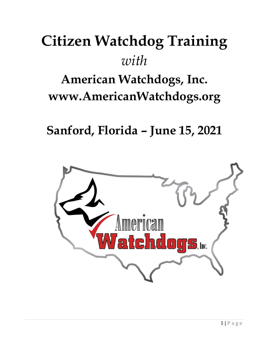# **Citizen Watchdog Training** *with*

# **American Watchdogs, Inc. www.AmericanWatchdogs.org**

**Sanford, Florida – June 15, 2021**

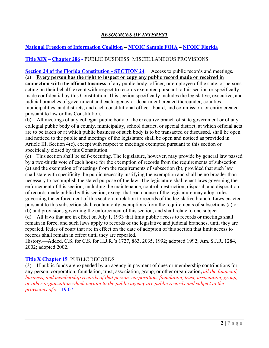# *RESOURCES OF INTEREST*

# **[National Freedom of Information Coalition](https://www.nfoic.org/florida-foia-laws/) – [NFOIC Sample FOIA](https://www.nfoic.org/florida-sample-foia-request/) – [NFOIC Florida](https://www.nfoic.org/florida-foia-laws/)**

# **[Title XIX](http://www.leg.state.fl.us/Statutes/index.cfm?App_mode=Display_Index&Title_Request=XIX#TitleXIX)** – **[Chapter 286](http://www.leg.state.fl.us/Statutes/index.cfm?App_mode=Display_Statute&URL=0200-0299/0286/0286ContentsIndex.html) -** PUBLIC BUSINESS: MISCELLANEOUS PROVISIONS

# **[Section 24 of the Florida Constitution -](http://www.leg.state.fl.us/statutes/index.cfm?submenu=3#A1S24) <b>SECTION 24**. Access to public records and meetings. (a) **Every person has the right to inspect or copy any public record made or received in**

**connection with the official business** of any public body, officer, or employee of the state, or persons acting on their behalf, except with respect to records exempted pursuant to this section or specifically made confidential by this Constitution. This section specifically includes the legislative, executive, and judicial branches of government and each agency or department created thereunder; counties, municipalities, and districts; and each constitutional officer, board, and commission, or entity created pursuant to law or this Constitution.

(b) All meetings of any collegial public body of the executive branch of state government or of any collegial public body of a county, municipality, school district, or special district, at which official acts are to be taken or at which public business of such body is to be transacted or discussed, shall be open and noticed to the public and meetings of the legislature shall be open and noticed as provided in Article III, Section 4(e), except with respect to meetings exempted pursuant to this section or specifically closed by this Constitution.

(c) This section shall be self-executing. The legislature, however, may provide by general law passed by a two-thirds vote of each house for the exemption of records from the requirements of subsection (a) and the exemption of meetings from the requirements of subsection (b), provided that such law shall state with specificity the public necessity justifying the exemption and shall be no broader than necessary to accomplish the stated purpose of the law. The legislature shall enact laws governing the enforcement of this section, including the maintenance, control, destruction, disposal, and disposition of records made public by this section, except that each house of the legislature may adopt rules governing the enforcement of this section in relation to records of the legislative branch. Laws enacted pursuant to this subsection shall contain only exemptions from the requirements of subsections (a) or (b) and provisions governing the enforcement of this section, and shall relate to one subject.

(d) All laws that are in effect on July 1, 1993 that limit public access to records or meetings shall remain in force, and such laws apply to records of the legislative and judicial branches, until they are repealed. Rules of court that are in effect on the date of adoption of this section that limit access to records shall remain in effect until they are repealed.

History.—Added, C.S. for C.S. for H.J.R.'s 1727, 863, 2035, 1992; adopted 1992; Am. S.J.R. 1284, 2002; adopted 2002.

#### **[Title X Chapter 19](http://www.leg.state.fl.us/statutes/index.cfm?App_mode=Display_Statute&URL=0100-0199/0119/0119.html)** PUBLIC RECORDS

(3) If public funds are expended by an agency in payment of dues or membership contributions for any person, corporation, foundation, trust, association, group, or other organization**,** *all the financial, business, and membership records of that person, corporation, foundation, trust, association, group, or other organization which pertain to the public agency are public records and subject to the provisions of s*. [119.07.](http://www.leg.state.fl.us/Statutes/index.cfm?App_mode=Display_Statute&Search_String=&URL=0100-0199/0119/Sections/0119.07.html)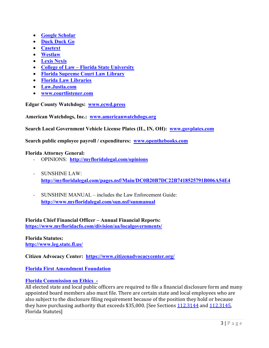- **[Google Scholar](https://scholar.google.com/)**
- **[Duck Duck Go](https://duckduckgo.com/)**
- **[Casetext](https://casetext.com/)**
- **[Westlaw](https://legal.thomsonreuters.com/en/c/legal-research-westlaw-edge?gclid=Cj0KCQjwk4yGBhDQARIsACGfAevwY2A2bH4oBQHYSzgwma-Iq9fb5USBrPMWLTuNsZjWZN79dVfr6pEaAk2xEALw_wcB&searchid=TRPPCSOL/Google/LegalUS_RS_Westlaw_Main_Search_Brand-Exact_US/WestlawResearch-Exact&chl=ppc&cid=9029042&sfdccampaignid=7014O000001BRReQAO&ef_id=Cj0KCQjwk4yGBhDQARIsACGfAevwY2A2bH4oBQHYSzgwma-Iq9fb5USBrPMWLTuNsZjWZN79dVfr6pEaAk2xEALw_wcB:G:s&s_kwcid=AL!7944!3!417749240816!e!!g!!westlaw%20legal%20research)**
- **[Lexis Nexis](https://www.lexisnexis.com/en-us/home.page)**
- **College of Law – [Florida State University](https://www.law.fsu.edu/research-center)**
- **[Florida Supreme Court Law Library](https://www.floridasupremecourt.org/Law-Library)**
- **[Florida Law Libraries](https://help.flcourts.org/Other-Resources/Law-Libraries)**
- **[Law.Justia.com](http://www.law.justia.com/)**
- **[www.courtlistener.com](http://www.courtlistener.com/)**

**Edgar County Watchdogs: [www.ecwd.press](http://www.ecwd.press/)**

**American Watchdogs, Inc.: [www.americanwatchdogs.org](http://www.americanwatchdogs.org/)**

**Search Local Government Vehicle License Plates (IL, IN, OH): [www.govplates.com](http://www.govplates.com/)**

**Search public employee payroll / expenditures: [www.openthebooks.com](http://www.openthebooks.com/)**

#### **Florida Attorney General:**

- OPINIONS: **<http://myfloridalegal.com/opinions>**
- SUNSHINE LAW: **<http://myfloridalegal.com/pages.nsf/Main/DC0B20B7DC22B7418525791B006A54E4>**
- SUNSHINE MANUAL includes the Law Enforcement Guide: **<http://www.myfloridalegal.com/sun.nsf/sunmanual>**

**Florida Chief Financial Officer – Annual Financial Reports: <https://www.myfloridacfo.com/division/aa/localgovernments/>**

**Florida Statutes: <http://www.leg.state.fl.us/>**

**Citizen Advocacy Center: <https://www.citizenadvocacycenter.org/>**

**[Florida First Amendment Foundation](https://floridafaf.org/)**

# **[Florida Commission on Ethics](http://ethics.state.fl.us/FinancialDisclosure/) -**

All elected state and local public officers are required to file a financial disclosure form and many appointed board members also must file. There are certain state and local employees who are also subject to the disclosure filing requirement because of the position they hold or because they have purchasing authority that exceeds \$35,000. [See Sections [112.3144](http://www.leg.state.fl.us/statutes/index.cfm?mode=View%20Statutes&SubMenu=1&App_mode=Display_Statute&Search_String=112.3144&URL=0100-0199/0112/Sections/0112.3144.html) and [112.3145,](http://www.leg.state.fl.us/statutes/index.cfm?mode=View%20Statutes&SubMenu=1&App_mode=Display_Statute&Search_String=112.3145&URL=0100-0199/0112/Sections/0112.3145.html) Florida Statutes]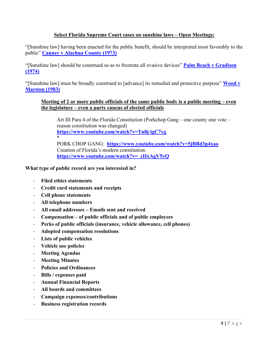### **Select Florida Supreme Court cases on sunshine laws – Open Meetings:**

"[Sunshine law] having been enacted for the public benefit, should be interpreted most favorably to the public" **[Canney v Alachua County \(1973\)](https://law.justia.com/cases/florida/supreme-court/1973/39473-0.html)**

"[Sunshine law] should be construed so as to frustrate all evasive devices" **[Palm Beach v Gradison](https://law.justia.com/cases/florida/supreme-court/1974/44099-0.html)  [\(1974\)](https://law.justia.com/cases/florida/supreme-court/1974/44099-0.html)**

"[Sunshine law] must be broadly construed to [advance] its remedial and protective purpose" **[Wood v](https://law.justia.com/cases/florida/supreme-court/1983/63341-0.html)  [Marston \(1983\)](https://law.justia.com/cases/florida/supreme-court/1983/63341-0.html)**

#### **Meeting of 2 or more public officials of the same public body is a public meeting – even the legislature – even a party caucus of elected officials**

Art III Para 4 of the Florida Constitution (Porkchop Gang – one county one vote – reason constitution was changed) **<https://www.youtube.com/watch?v=Tn8j-igC7yg>** \* PORK CHOP GANG: **<https://www.youtube.com/watch?v=5jBBd3p4xao>** Creation of Florida's modern constitution: **[https://www.youtube.com/watch?v=\\_cIIxAgV5yQ](https://www.youtube.com/watch?v=_cIIxAgV5yQ)**

#### **What type of public record are you interested in?**

- **Filed ethics statements**
- **Credit card statements and receipts**
- **Cell phone statements**
- **All telephone numbers**
- **All email addresses – Emails sent and received**
- **Compensation – of public officials and of public employees**
- **Perks of public officials (insurance, vehicle allowance, cell phones)**
- **Adopted compensation resolutions**
- **Lists of public vehicles**
- **Vehicle use policies**
- **Meeting Agendas**
- **Meeting Minutes**
- **Policies and Ordinances**
- **Bills / expenses paid**
- **Annual Financial Reports**
- **All boards and committees**
- **Campaign expenses/contributions**
- **Business registration records**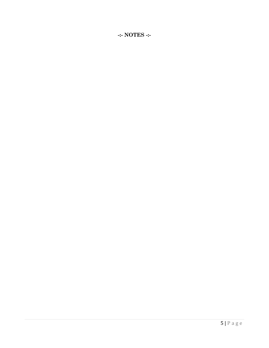**-:- NOTES -:-**